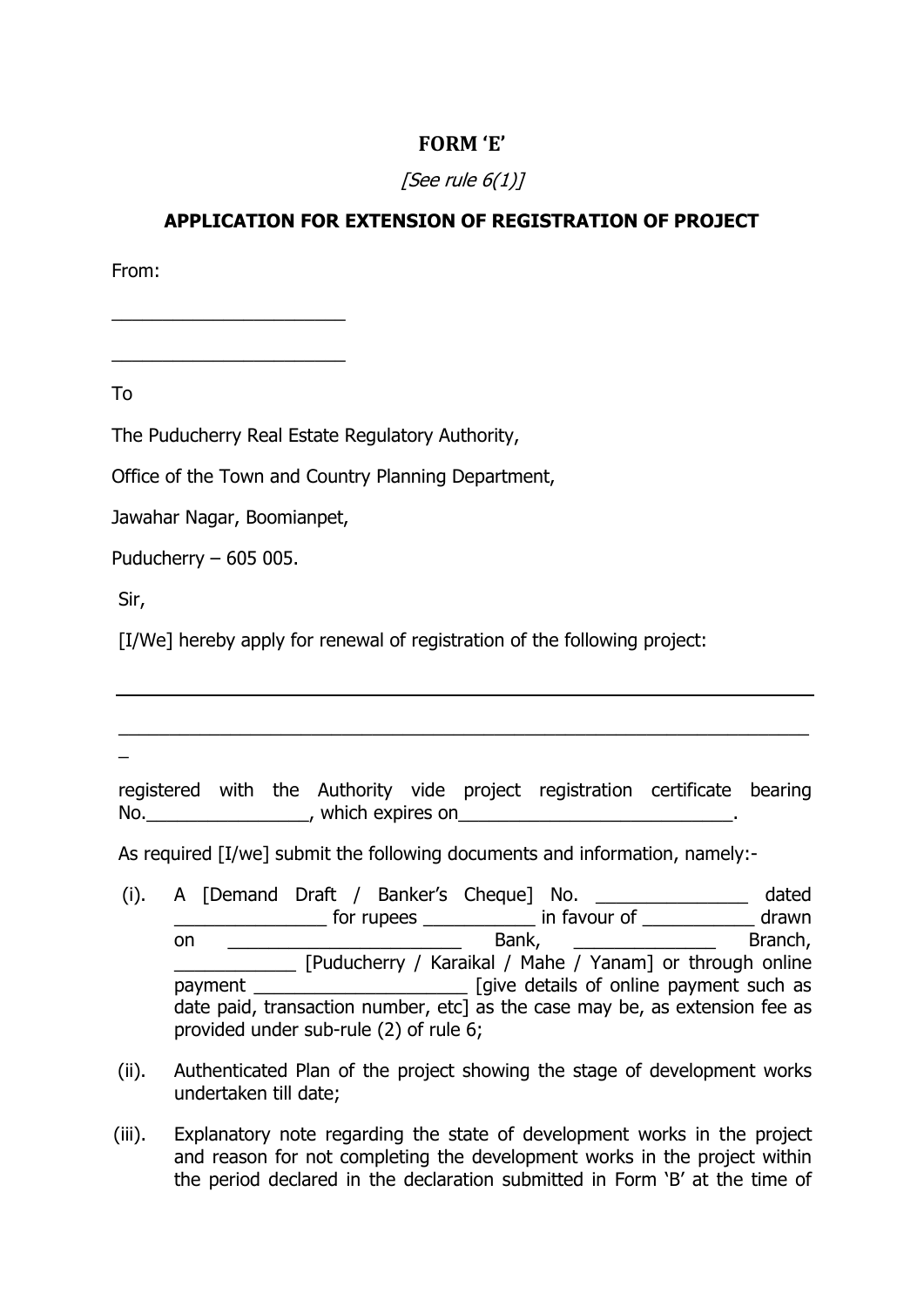## **FORM 'E'**

## [See rule  $6(1)$ ]

## **APPLICATION FOR EXTENSION OF REGISTRATION OF PROJECT**

From:

To

The Puducherry Real Estate Regulatory Authority,

Office of the Town and Country Planning Department,

Jawahar Nagar, Boomianpet,

 $\frac{1}{2}$  ,  $\frac{1}{2}$  ,  $\frac{1}{2}$  ,  $\frac{1}{2}$  ,  $\frac{1}{2}$  ,  $\frac{1}{2}$  ,  $\frac{1}{2}$  ,  $\frac{1}{2}$  ,  $\frac{1}{2}$  ,  $\frac{1}{2}$  ,  $\frac{1}{2}$  ,  $\frac{1}{2}$  ,  $\frac{1}{2}$  ,  $\frac{1}{2}$  ,  $\frac{1}{2}$  ,  $\frac{1}{2}$  ,  $\frac{1}{2}$  ,  $\frac{1}{2}$  ,  $\frac{1$ 

 $\frac{1}{2}$  ,  $\frac{1}{2}$  ,  $\frac{1}{2}$  ,  $\frac{1}{2}$  ,  $\frac{1}{2}$  ,  $\frac{1}{2}$  ,  $\frac{1}{2}$  ,  $\frac{1}{2}$  ,  $\frac{1}{2}$  ,  $\frac{1}{2}$  ,  $\frac{1}{2}$  ,  $\frac{1}{2}$  ,  $\frac{1}{2}$  ,  $\frac{1}{2}$  ,  $\frac{1}{2}$  ,  $\frac{1}{2}$  ,  $\frac{1}{2}$  ,  $\frac{1}{2}$  ,  $\frac{1$ 

Puducherry – 605 005.

Sir,

[I/We] hereby apply for renewal of registration of the following project:

 $\overline{a}$ 

registered with the Authority vide project registration certificate bearing No. The state of the strict of the strict of the strict of the strict of the strict of the strict of the strict of the strict of the strict of the strict of the strict of the strict of the strict of the strict of the stric

\_\_\_\_\_\_\_\_\_\_\_\_\_\_\_\_\_\_\_\_\_\_\_\_\_\_\_\_\_\_\_\_\_\_\_\_\_\_\_\_\_\_\_\_\_\_\_\_\_\_\_\_\_\_\_\_\_\_\_\_\_\_\_\_\_\_\_\_

As required [I/we] submit the following documents and information, namely:-

- (i). A [Demand Draft / Banker's Cheque] No. \_\_\_\_\_\_\_\_\_\_\_\_\_\_\_ dated \_\_\_\_\_\_\_\_\_\_\_\_\_\_\_ for rupees \_\_\_\_\_\_\_\_\_\_\_ in favour of \_\_\_\_\_\_\_\_\_\_\_ drawn on and the bank, and the bank, and the Branch,  $\alpha$ \_\_\_\_\_\_\_\_\_\_\_\_ [Puducherry / Karaikal / Mahe / Yanam] or through online payment \_\_\_\_\_\_\_\_\_\_\_\_\_\_\_\_\_\_\_\_\_ [give details of online payment such as date paid, transaction number, etc] as the case may be, as extension fee as provided under sub-rule (2) of rule 6;
- (ii). Authenticated Plan of the project showing the stage of development works undertaken till date;
- (iii). Explanatory note regarding the state of development works in the project and reason for not completing the development works in the project within the period declared in the declaration submitted in Form 'B' at the time of